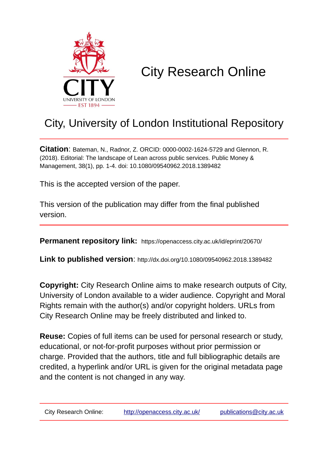

## City Research Online

## City, University of London Institutional Repository

**Citation**: Bateman, N., Radnor, Z. ORCID: 0000-0002-1624-5729 and Glennon, R. (2018). Editorial: The landscape of Lean across public services. Public Money & Management, 38(1), pp. 1-4. doi: 10.1080/09540962.2018.1389482

This is the accepted version of the paper.

This version of the publication may differ from the final published version.

**Permanent repository link:** https://openaccess.city.ac.uk/id/eprint/20670/

**Link to published version**: http://dx.doi.org/10.1080/09540962.2018.1389482

**Copyright:** City Research Online aims to make research outputs of City, University of London available to a wider audience. Copyright and Moral Rights remain with the author(s) and/or copyright holders. URLs from City Research Online may be freely distributed and linked to.

**Reuse:** Copies of full items can be used for personal research or study, educational, or not-for-profit purposes without prior permission or charge. Provided that the authors, title and full bibliographic details are credited, a hyperlink and/or URL is given for the original metadata page and the content is not changed in any way.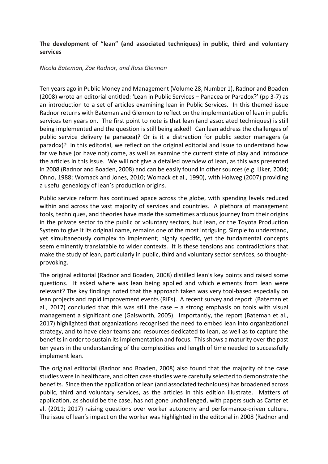## **The development of "lean" (and associated techniques) in public, third and voluntary services**

## *Nicola Bateman, Zoe Radnor, and Russ Glennon*

Ten years ago in Public Money and Management (Volume 28, Number 1), Radnor and Boaden (2008) wrote an editorial entitled: 'Lean in Public Services – Panacea or Paradox?' (pp 3-7) as an introduction to a set of articles examining lean in Public Services. In this themed issue Radnor returns with Bateman and Glennon to reflect on the implementation of lean in public services ten years on. The first point to note is that lean (and associated techniques) is still being implemented and the question is still being asked! Can lean address the challenges of public service delivery (a panacea)? Or is it a distraction for public sector managers (a paradox)? In this editorial, we reflect on the original editorial and issue to understand how far we have (or have not) come, as well as examine the current state of play and introduce the articles in this issue. We will not give a detailed overview of lean, as this was presented in 2008 (Radnor and Boaden, 2008) and can be easily found in other sources (e.g. Liker, 2004; Ohno, 1988; Womack and Jones, 2010; Womack et al., 1990), with Holweg (2007) providing a useful genealogy of lean's production origins.

Public service reform has continued apace across the globe, with spending levels reduced within and across the vast majority of services and countries. A plethora of management tools, techniques, and theories have made the sometimes arduous journey from their origins in the private sector to the public or voluntary sectors, but lean, or the Toyota Production System to give it its original name, remains one of the most intriguing. Simple to understand, yet simultaneously complex to implement; highly specific, yet the fundamental concepts seem eminently translatable to wider contexts. It is these tensions and contradictions that make the study of lean, particularly in public, third and voluntary sector services, so thoughtprovoking.

The original editorial (Radnor and Boaden, 2008) distilled lean's key points and raised some questions. It asked where was lean being applied and which elements from lean were relevant? The key findings noted that the approach taken was very tool-based especially on lean projects and rapid improvement events (RIEs). A recent survey and report (Bateman et al., 2017) concluded that this was still the case  $-$  a strong emphasis on tools with visual management a significant one (Galsworth, 2005). Importantly, the report (Bateman et al., 2017) highlighted that organizations recognised the need to embed lean into organizational strategy, and to have clear teams and resources dedicated to lean, as well as to capture the benefitsin order to sustain its implementation and focus. This shows a maturity over the past ten years in the understanding of the complexities and length of time needed to successfully implement lean.

The original editorial (Radnor and Boaden, 2008) also found that the majority of the case studies were in healthcare, and often case studies were carefully selected to demonstrate the benefits. Since then the application of lean (and associated techniques) has broadened across public, third and voluntary services, as the articles in this edition illustrate. Matters of application, as should be the case, has not gone unchallenged, with papers such as Carter et al. (2011; 2017) raising questions over worker autonomy and performance-driven culture. The issue of lean's impact on the worker was highlighted in the editorial in 2008 (Radnor and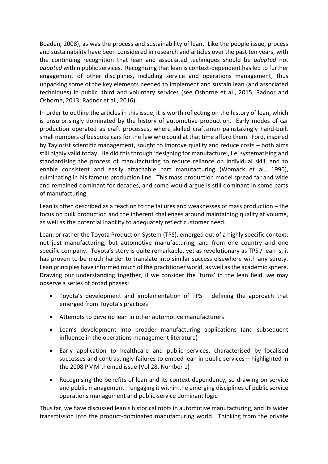Boaden, 2008), as was the process and sustainability of lean. Like the people issue, process and sustainability have been considered in research and articles over the past ten years, with the continuing recognition that lean and associated techniques should be *adapted* not *adopted* within public services. Recognizing that lean is context-dependent has led to further engagement of other disciplines, including service and operations management, thus unpacking some of the key elements needed to implement and sustain lean (and associated techniques) in public, third and voluntary services (see Osborne et al., 2015; Radnor and Osborne, 2013; Radnor et al., 2016).

In order to outline the articles in this issue, it is worth reflecting on the history of lean, which is unsurprisingly dominated by the history of automotive production. Early modes of car production operated as craft processes, where skilled craftsmen painstakingly hand-built small numbers of bespoke cars for the few who could at that time afford them. Ford, inspired by Taylorist scientific management, sought to improve quality and reduce costs – both aims still highly valid today. He did this through 'designing for manufacture', i.e. systematising and standardising the process of manufacturing to reduce reliance on individual skill, and to enable consistent and easily attachable part manufacturing (Womack et al., 1990), culminating in his famous production line. This mass production model spread far and wide and remained dominant for decades, and some would argue is still dominant in some parts of manufacturing.

Lean is often described as a reaction to the failures and weaknesses of mass production – the focus on bulk production and the inherent challenges around maintaining quality at volume, as well as the potential inability to adequately reflect customer need.

Lean, or rather the Toyota Production System (TPS), emerged out of a highly specific context: not just manufacturing, but automotive manufacturing, and from one country and one specific company. Toyota's story is quite remarkable, yet as revolutionary as TPS / lean is, it has proven to be much harder to translate into similar success elsewhere with any surety. Lean principles have informed much of the practitioner world, as well as the academic sphere. Drawing our understanding together, if we consider the 'turns' in the lean field, we may observe a series of broad phases:

- Toyota's development and implementation of TPS defining the approach that emerged from Toyota's practices
- Attempts to develop lean in other automotive manufacturers
- Lean's development into broader manufacturing applications (and subsequent influence in the operations management literature)
- Early application to healthcare and public services, characterised by localised successes and contrastingly failures to embed lean in public services – highlighted in the 2008 PMM themed issue (Vol 28, Number 1)
- Recognising the benefits of lean and its context dependency, so drawing on service and public management – engaging it within the emerging disciplines of public service operations management and public-service dominant logic

Thus far, we have discussed lean's historical roots in automotive manufacturing, and its wider transmission into the product-dominated manufacturing world. Thinking from the private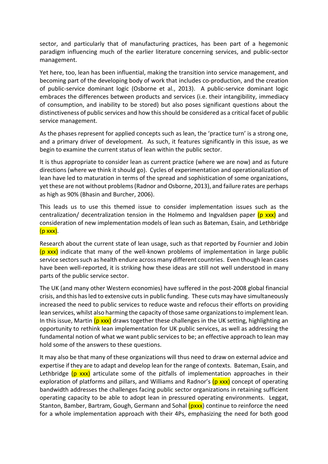sector, and particularly that of manufacturing practices, has been part of a hegemonic paradigm influencing much of the earlier literature concerning services, and public-sector management.

Yet here, too, lean has been influential, making the transition into service management, and becoming part of the developing body of work that includes co-production, and the creation of public-service dominant logic (Osborne et al., 2013). A public-service dominant logic embraces the differences between products and services (i.e. their intangibility, immediacy of consumption, and inability to be stored) but also poses significant questions about the distinctiveness of public services and how this should be considered as a critical facet of public service management.

As the phases represent for applied concepts such as lean, the 'practice turn' is a strong one, and a primary driver of development. As such, it features significantly in this issue, as we begin to examine the current status of lean within the public sector.

It is thus appropriate to consider lean as current practice (where we are now) and as future directions (where we think it should go). Cycles of experimentation and operationalization of lean have led to maturation in terms of the spread and sophistication of some organizations, yet these are not without problems (Radnor and Osborne, 2013), and failure rates are perhaps as high as 90% (Bhasin and Burcher, 2006).

This leads us to use this themed issue to consider implementation issues such as the centralization/ decentralization tension in the Holmemo and Ingvaldsen paper  $(p \, x \times x)$  and consideration of new implementation models of lean such as Bateman, Esain, and Lethbridge (p xxx).

Research about the current state of lean usage, such as that reported by Fournier and Jobin  $(p \, xxx)$  indicate that many of the well-known problems of implementation in large public service sectors such as health endure across many different countries. Even though lean cases have been well-reported, it is striking how these ideas are still not well understood in many parts of the public service sector.

The UK (and many other Western economies) have suffered in the post-2008 global financial crisis, and this has led to extensive cuts in public funding. These cuts may have simultaneously increased the need to public services to reduce waste and refocus their efforts on providing lean services, whilst also harming the capacity of those same organizations to implement lean. In this issue, Martin  $(p \, x \, x)$  draws together these challenges in the UK setting, highlighting an opportunity to rethink lean implementation for UK public services, as well as addressing the fundamental notion of what we want public services to be; an effective approach to lean may hold some of the answers to these questions.

It may also be that many of these organizations will thus need to draw on external advice and expertise if they are to adapt and develop lean for the range of contexts. Bateman, Esain, and Lethbridge  $(p \, x \times x)$  articulate some of the pitfalls of implementation approaches in their exploration of platforms and pillars, and Williams and Radnor's (p xxx) concept of operating bandwidth addresses the challenges facing public sector organizations in retaining sufficient operating capacity to be able to adopt lean in pressured operating environments. Leggat, Stanton, Bamber, Bartram, Gough, Germann and Sohal (pxxx) continue to reinforce the need for a whole implementation approach with their 4Ps, emphasizing the need for both good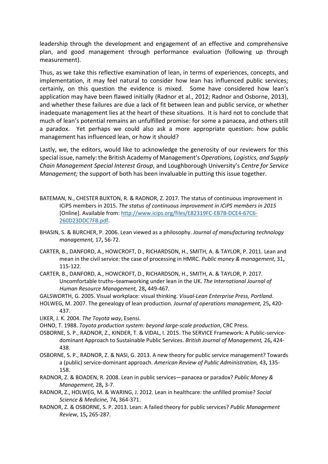leadership through the development and engagement of an effective and comprehensive plan, and good management through performance evaluation (following up through measurement).

Thus, as we take this reflective examination of lean, in terms of experiences, concepts, and implementation, it may feel natural to consider how lean has influenced public services; certainly, on this question the evidence is mixed. Some have considered how lean's application may have been flawed initially (Radnor et al., 2012; Radnor and Osborne, 2013), and whether these failures are due a lack of fit between lean and public service, or whether inadequate management lies at the heart of these situations. It is hard not to conclude that much of lean's potential remains an unfulfilled promise: for some a panacea, and others still a paradox. Yet perhaps we could also ask a more appropriate question: how public management has influenced lean, or how it should?

Lastly, we, the editors, would like to acknowledge the generosity of our reviewers for this special issue, namely: the British Academy of Management's *Operations, Logistics, and Supply Chain Management Special Interest Group*, and Loughborough University's *Centre for Service Management;* the support of both has been invaluable in putting this issue together.

- BATEMAN, N., CHESTER BUXTON, R. & RADNOR, Z. 2017. The status of continuous improvement in ICiPS members in 2015. *The status of continuous improvement in ICiPS members in 2015*  [Online]. Available from: [http://www.icips.org/files/E82319FC-EB7B-DCE4-67C6-](http://www.icips.org/files/E82319FC-EB7B-DCE4-67C6-260D23DDC7FB.pdf) [260D23DDC7FB.pdf.](http://www.icips.org/files/E82319FC-EB7B-DCE4-67C6-260D23DDC7FB.pdf)
- BHASIN, S. & BURCHER, P. 2006. Lean viewed as a philosophy. *Journal of manufacturing technology management,* 17**,** 56-72.
- CARTER, B., DANFORD, A., HOWCROFT, D., RICHARDSON, H., SMITH, A. & TAYLOR, P. 2011. Lean and mean in the civil service: the case of processing in HMRC. *Public money & management,* 31**,** 115-122.
- CARTER, B., DANFORD, A., HOWCROFT, D., RICHARDSON, H., SMITH, A. & TAYLOR, P. 2017. Uncomfortable truths–teamworking under lean in the UK. *The International Journal of Human Resource Management,* 28**,** 449-467.
- GALSWORTH, G. 2005. Visual workplace: visual thinking. *Visual-Lean Enterprise Press, Portland*.
- HOLWEG, M. 2007. The genealogy of lean production. *Journal of operations management,* 25**,** 420-
- 437. LIKER, J. K. 2004. *The Toyota way*, Esensi.

OHNO, T. 1988. *Toyota production system: beyond large-scale production*, CRC Press.

- OSBORNE, S. P., RADNOR, Z., KINDER, T. & VIDAL, I. 2015. The SERVICE Framework: A Public-servicedominant Approach to Sustainable Public Services. *British Journal of Management,* 26**,** 424- 438.
- OSBORNE, S. P., RADNOR, Z. & NASI, G. 2013. A new theory for public service management? Towards a (public) service-dominant approach. *American Review of Public Administration,* 43**,** 135- 158.
- RADNOR, Z. & BOADEN, R. 2008. Lean in public services—panacea or paradox? *Public Money & Management,* 28**,** 3-7.
- RADNOR, Z., HOLWEG, M. & WARING, J. 2012. Lean in healthcare: the unfilled promise? *Social Science & Medicine,* 74**,** 364-371.
- RADNOR, Z. & OSBORNE, S. P. 2013. Lean: A failed theory for public services? *Public Management Review,* 15**,** 265-287.